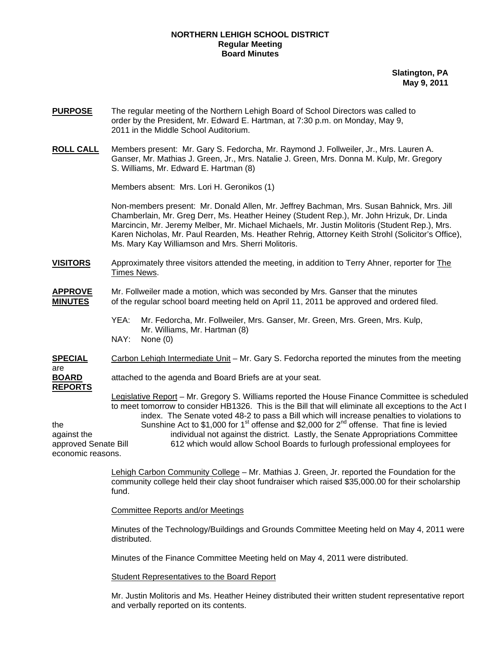## **NORTHERN LEHIGH SCHOOL DISTRICT Regular Meeting Board Minutes**

**Slatington, PA May 9, 2011**

- **PURPOSE** The regular meeting of the Northern Lehigh Board of School Directors was called to order by the President, Mr. Edward E. Hartman, at 7:30 p.m. on Monday, May 9, 2011 in the Middle School Auditorium.
- **ROLL CALL** Members present: Mr. Gary S. Fedorcha, Mr. Raymond J. Follweiler, Jr., Mrs. Lauren A. Ganser, Mr. Mathias J. Green, Jr., Mrs. Natalie J. Green, Mrs. Donna M. Kulp, Mr. Gregory S. Williams, Mr. Edward E. Hartman (8)

Members absent: Mrs. Lori H. Geronikos (1)

Non-members present: Mr. Donald Allen, Mr. Jeffrey Bachman, Mrs. Susan Bahnick, Mrs. Jill Chamberlain, Mr. Greg Derr, Ms. Heather Heiney (Student Rep.), Mr. John Hrizuk, Dr. Linda Marcincin, Mr. Jeremy Melber, Mr. Michael Michaels, Mr. Justin Molitoris (Student Rep.), Mrs. Karen Nicholas, Mr. Paul Rearden, Ms. Heather Rehrig, Attorney Keith Strohl (Solicitor's Office), Ms. Mary Kay Williamson and Mrs. Sherri Molitoris.

- **VISITORS** Approximately three visitors attended the meeting, in addition to Terry Ahner, reporter for The Times News.
- **APPROVE** Mr. Follweiler made a motion, which was seconded by Mrs. Ganser that the minutes **MINUTES** of the regular school board meeting held on April 11, 2011 be approved and ordered filed.
	- YEA: Mr. Fedorcha, Mr. Follweiler, Mrs. Ganser, Mr. Green, Mrs. Green, Mrs. Kulp, Mr. Williams, Mr. Hartman (8) NAY: None (0)
- **SPECIAL** Carbon Lehigh Intermediate Unit Mr. Gary S. Fedorcha reported the minutes from the meeting are **BOARD** attached to the agenda and Board Briefs are at your seat. **REPORTS**

 Legislative Report – Mr. Gregory S. Williams reported the House Finance Committee is scheduled to meet tomorrow to consider HB1326. This is the Bill that will eliminate all exceptions to the Act I index. The Senate voted 48-2 to pass a Bill which will increase penalties to violations to the Sunshine Act to \$1,000 for 1<sup>st</sup> offense and \$2,000 for  $2^{nd}$  offense. That fine is levied against the individual not against the district. Lastly, the Senate Appropriations Committee approved Senate Bill 612 which would allow School Boards to furlough professional employees for economic reasons.

> Lehigh Carbon Community College – Mr. Mathias J. Green, Jr. reported the Foundation for the community college held their clay shoot fundraiser which raised \$35,000.00 for their scholarship fund.

Committee Reports and/or Meetings

Minutes of the Technology/Buildings and Grounds Committee Meeting held on May 4, 2011 were distributed.

Minutes of the Finance Committee Meeting held on May 4, 2011 were distributed.

Student Representatives to the Board Report

 Mr. Justin Molitoris and Ms. Heather Heiney distributed their written student representative report and verbally reported on its contents.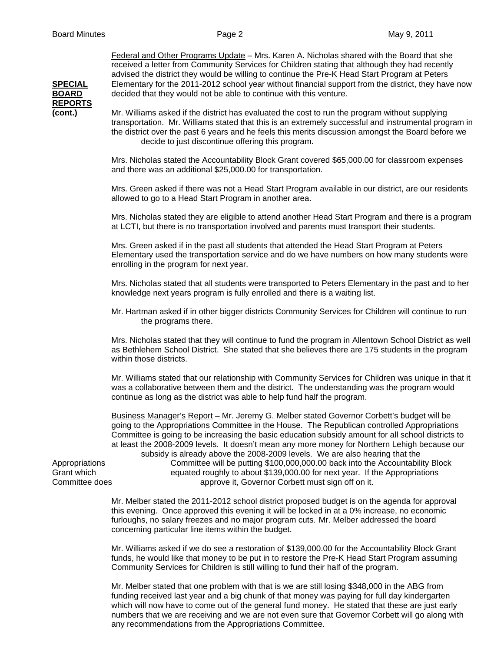Federal and Other Programs Update – Mrs. Karen A. Nicholas shared with the Board that she received a letter from Community Services for Children stating that although they had recently advised the district they would be willing to continue the Pre-K Head Start Program at Peters **SPECIAL** Elementary for the 2011-2012 school year without financial support from the district, they have now **BOARD** decided that they would not be able to continue with this venture.

**REPORTS**

**(cont.)** Mr. Williams asked if the district has evaluated the cost to run the program without supplying transportation. Mr. Williams stated that this is an extremely successful and instrumental program in the district over the past 6 years and he feels this merits discussion amongst the Board before we decide to just discontinue offering this program.

> Mrs. Nicholas stated the Accountability Block Grant covered \$65,000.00 for classroom expenses and there was an additional \$25,000.00 for transportation.

Mrs. Green asked if there was not a Head Start Program available in our district, are our residents allowed to go to a Head Start Program in another area.

Mrs. Nicholas stated they are eligible to attend another Head Start Program and there is a program at LCTI, but there is no transportation involved and parents must transport their students.

Mrs. Green asked if in the past all students that attended the Head Start Program at Peters Elementary used the transportation service and do we have numbers on how many students were enrolling in the program for next year.

 Mrs. Nicholas stated that all students were transported to Peters Elementary in the past and to her knowledge next years program is fully enrolled and there is a waiting list.

 Mr. Hartman asked if in other bigger districts Community Services for Children will continue to run the programs there.

 Mrs. Nicholas stated that they will continue to fund the program in Allentown School District as well as Bethlehem School District. She stated that she believes there are 175 students in the program within those districts.

 Mr. Williams stated that our relationship with Community Services for Children was unique in that it was a collaborative between them and the district. The understanding was the program would continue as long as the district was able to help fund half the program.

 Business Manager's Report – Mr. Jeremy G. Melber stated Governor Corbett's budget will be going to the Appropriations Committee in the House. The Republican controlled Appropriations Committee is going to be increasing the basic education subsidy amount for all school districts to at least the 2008-2009 levels. It doesn't mean any more money for Northern Lehigh because our subsidy is already above the 2008-2009 levels. We are also hearing that the Appropriations Committee will be putting \$100,000,000.00 back into the Accountability Block Grant which equated roughly to about \$139,000.00 for next year. If the Appropriations Committee does approve it, Governor Corbett must sign off on it.

 Mr. Melber stated the 2011-2012 school district proposed budget is on the agenda for approval this evening. Once approved this evening it will be locked in at a 0% increase, no economic furloughs, no salary freezes and no major program cuts. Mr. Melber addressed the board concerning particular line items within the budget.

 Mr. Williams asked if we do see a restoration of \$139,000.00 for the Accountability Block Grant funds, he would like that money to be put in to restore the Pre-K Head Start Program assuming Community Services for Children is still willing to fund their half of the program.

 Mr. Melber stated that one problem with that is we are still losing \$348,000 in the ABG from funding received last year and a big chunk of that money was paying for full day kindergarten which will now have to come out of the general fund money. He stated that these are just early numbers that we are receiving and we are not even sure that Governor Corbett will go along with any recommendations from the Appropriations Committee.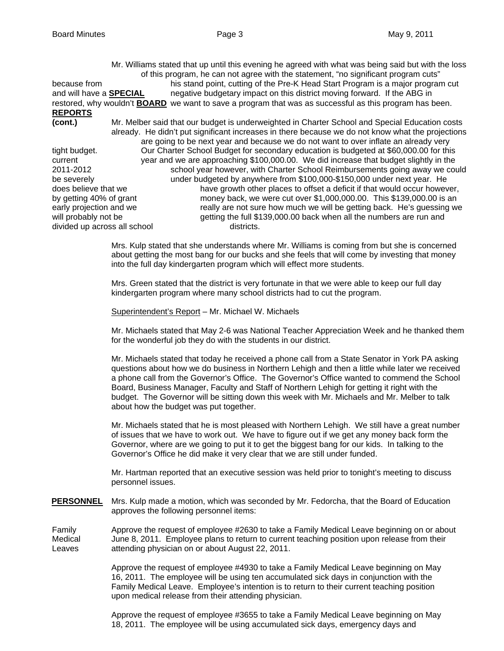Mr. Williams stated that up until this evening he agreed with what was being said but with the loss of this program, he can not agree with the statement, "no significant program cuts" because from his stand point, cutting of the Pre-K Head Start Program is a major program cut and will have a **SPECIAL** negative budgetary impact on this district moving forward. If the ABG in restored, why wouldn't **BOARD** we want to save a program that was as successful as this program has been. **REPORTS (cont.)** Mr. Melber said that our budget is underweighted in Charter School and Special Education costs already. He didn't put significant increases in there because we do not know what the projections are going to be next year and because we do not want to over inflate an already very tight budget. Our Charter School Budget for secondary education is budgeted at \$60,000.00 for this current year and we are approaching \$100,000.00. We did increase that budget slightly in the 2011-2012 school year however, with Charter School Reimbursements going away we could be severely under budgeted by anywhere from \$100,000-\$150,000 under next year. He does believe that we have growth other places to offset a deficit if that would occur however, by getting 40% of grant money back, we were cut over \$1,000,000.00. This \$139,000.00 is an early projection and we really are not sure how much we will be getting back. He's guessing we will probably not be getting the full \$139,000.00 back when all the numbers are run and divided up across all school districts.

> Mrs. Kulp stated that she understands where Mr. Williams is coming from but she is concerned about getting the most bang for our bucks and she feels that will come by investing that money into the full day kindergarten program which will effect more students.

 Mrs. Green stated that the district is very fortunate in that we were able to keep our full day kindergarten program where many school districts had to cut the program.

Superintendent's Report – Mr. Michael W. Michaels

Mr. Michaels stated that May 2-6 was National Teacher Appreciation Week and he thanked them for the wonderful job they do with the students in our district.

Mr. Michaels stated that today he received a phone call from a State Senator in York PA asking questions about how we do business in Northern Lehigh and then a little while later we received a phone call from the Governor's Office. The Governor's Office wanted to commend the School Board, Business Manager, Faculty and Staff of Northern Lehigh for getting it right with the budget. The Governor will be sitting down this week with Mr. Michaels and Mr. Melber to talk about how the budget was put together.

Mr. Michaels stated that he is most pleased with Northern Lehigh. We still have a great number of issues that we have to work out. We have to figure out if we get any money back form the Governor, where are we going to put it to get the biggest bang for our kids. In talking to the Governor's Office he did make it very clear that we are still under funded.

Mr. Hartman reported that an executive session was held prior to tonight's meeting to discuss personnel issues.

**PERSONNEL** Mrs. Kulp made a motion, which was seconded by Mr. Fedorcha, that the Board of Education approves the following personnel items:

Family Approve the request of employee #2630 to take a Family Medical Leave beginning on or about Medical June 8, 2011. Employee plans to return to current teaching position upon release from their Leaves attending physician on or about August 22, 2011.

> Approve the request of employee #4930 to take a Family Medical Leave beginning on May 16, 2011. The employee will be using ten accumulated sick days in conjunction with the Family Medical Leave. Employee's intention is to return to their current teaching position upon medical release from their attending physician.

> Approve the request of employee #3655 to take a Family Medical Leave beginning on May 18, 2011. The employee will be using accumulated sick days, emergency days and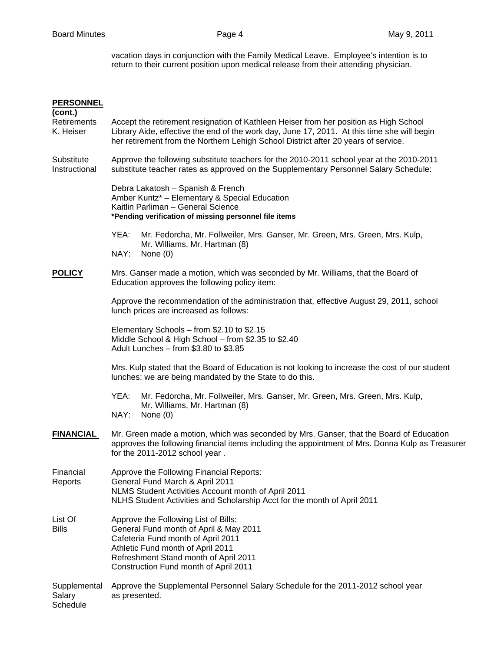vacation days in conjunction with the Family Medical Leave. Employee's intention is to return to their current position upon medical release from their attending physician.

| <b>PERSONNEL</b><br>(cont.)        |                                                                                                                                                                                                                                                                            |  |  |
|------------------------------------|----------------------------------------------------------------------------------------------------------------------------------------------------------------------------------------------------------------------------------------------------------------------------|--|--|
| <b>Retirements</b><br>K. Heiser    | Accept the retirement resignation of Kathleen Heiser from her position as High School<br>Library Aide, effective the end of the work day, June 17, 2011. At this time she will begin<br>her retirement from the Northern Lehigh School District after 20 years of service. |  |  |
| Substitute<br>Instructional        | Approve the following substitute teachers for the 2010-2011 school year at the 2010-2011<br>substitute teacher rates as approved on the Supplementary Personnel Salary Schedule:                                                                                           |  |  |
|                                    | Debra Lakatosh - Spanish & French<br>Amber Kuntz* - Elementary & Special Education<br>Kaitlin Parliman - General Science<br>*Pending verification of missing personnel file items                                                                                          |  |  |
|                                    | YEA:<br>Mr. Fedorcha, Mr. Follweiler, Mrs. Ganser, Mr. Green, Mrs. Green, Mrs. Kulp,<br>Mr. Williams, Mr. Hartman (8)<br>NAY:<br>None $(0)$                                                                                                                                |  |  |
| <b>POLICY</b>                      | Mrs. Ganser made a motion, which was seconded by Mr. Williams, that the Board of<br>Education approves the following policy item:                                                                                                                                          |  |  |
|                                    | Approve the recommendation of the administration that, effective August 29, 2011, school<br>lunch prices are increased as follows:                                                                                                                                         |  |  |
|                                    | Elementary Schools - from \$2.10 to \$2.15<br>Middle School & High School - from \$2.35 to \$2.40<br>Adult Lunches - from \$3.80 to \$3.85                                                                                                                                 |  |  |
|                                    | Mrs. Kulp stated that the Board of Education is not looking to increase the cost of our student<br>lunches; we are being mandated by the State to do this.                                                                                                                 |  |  |
|                                    | YEA:<br>Mr. Fedorcha, Mr. Follweiler, Mrs. Ganser, Mr. Green, Mrs. Green, Mrs. Kulp,<br>Mr. Williams, Mr. Hartman (8)<br>NAY:<br>None $(0)$                                                                                                                                |  |  |
| <b>FINANCIAL</b>                   | Mr. Green made a motion, which was seconded by Mrs. Ganser, that the Board of Education<br>approves the following financial items including the appointment of Mrs. Donna Kulp as Treasurer<br>for the 2011-2012 school year.                                              |  |  |
| Financial<br>Reports               | Approve the Following Financial Reports:<br>General Fund March & April 2011<br>NLMS Student Activities Account month of April 2011<br>NLHS Student Activities and Scholarship Acct for the month of April 2011                                                             |  |  |
| List Of<br><b>Bills</b>            | Approve the Following List of Bills:<br>General Fund month of April & May 2011<br>Cafeteria Fund month of April 2011<br>Athletic Fund month of April 2011<br>Refreshment Stand month of April 2011<br>Construction Fund month of April 2011                                |  |  |
| Supplemental<br>Salary<br>Schedule | Approve the Supplemental Personnel Salary Schedule for the 2011-2012 school year<br>as presented.                                                                                                                                                                          |  |  |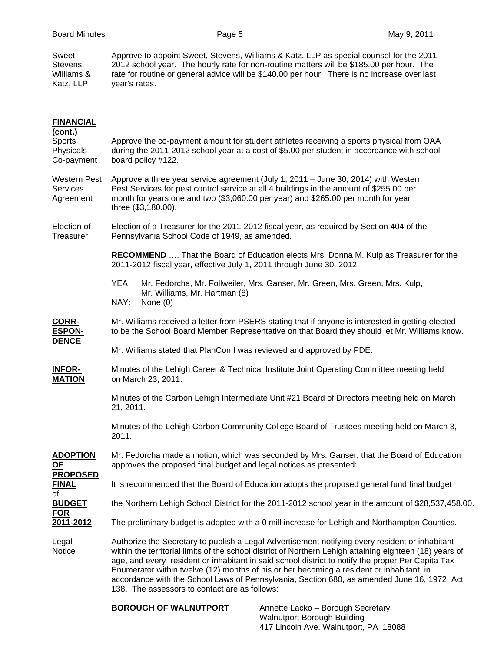Sweet, Approve to appoint Sweet, Stevens, Williams & Katz, LLP as special counsel for the 2011-<br>Stevens. 2012 school year. The hourly rate for non-routine matters will be \$185.00 per hour. The Stevens, 2012 school year. The hourly rate for non-routine matters will be \$185.00 per hour. The Williams & rate for routine or general advice will be \$140.00 per hour. There is no increase over last Katz, LLP year's rates.

| <b>FINANCIAL</b>                                                                       |                                                                                                                                                                                                                                                                                                                                                                                                                                                                                                                                                              |  |  |  |
|----------------------------------------------------------------------------------------|--------------------------------------------------------------------------------------------------------------------------------------------------------------------------------------------------------------------------------------------------------------------------------------------------------------------------------------------------------------------------------------------------------------------------------------------------------------------------------------------------------------------------------------------------------------|--|--|--|
| (cont.)<br>Sports<br>Physicals<br>Co-payment                                           | Approve the co-payment amount for student athletes receiving a sports physical from OAA<br>during the 2011-2012 school year at a cost of \$5.00 per student in accordance with school<br>board policy #122.                                                                                                                                                                                                                                                                                                                                                  |  |  |  |
| Western Pest<br><b>Services</b><br>Agreement                                           | Approve a three year service agreement (July 1, 2011 - June 30, 2014) with Western<br>Pest Services for pest control service at all 4 buildings in the amount of \$255.00 per<br>month for years one and two (\$3,060.00 per year) and \$265.00 per month for year<br>three (\$3,180.00).                                                                                                                                                                                                                                                                    |  |  |  |
| Election of<br>Treasurer                                                               | Election of a Treasurer for the 2011-2012 fiscal year, as required by Section 404 of the<br>Pennsylvania School Code of 1949, as amended.                                                                                                                                                                                                                                                                                                                                                                                                                    |  |  |  |
|                                                                                        | <b>RECOMMEND</b> That the Board of Education elects Mrs. Donna M. Kulp as Treasurer for the<br>2011-2012 fiscal year, effective July 1, 2011 through June 30, 2012.                                                                                                                                                                                                                                                                                                                                                                                          |  |  |  |
|                                                                                        | YEA:<br>Mr. Fedorcha, Mr. Follweiler, Mrs. Ganser, Mr. Green, Mrs. Green, Mrs. Kulp,<br>Mr. Williams, Mr. Hartman (8)<br>NAY:<br>None $(0)$                                                                                                                                                                                                                                                                                                                                                                                                                  |  |  |  |
| CORR-<br><b>ESPON-</b><br><b>DENCE</b>                                                 | Mr. Williams received a letter from PSERS stating that if anyone is interested in getting elected<br>to be the School Board Member Representative on that Board they should let Mr. Williams know.                                                                                                                                                                                                                                                                                                                                                           |  |  |  |
|                                                                                        | Mr. Williams stated that PlanCon I was reviewed and approved by PDE.                                                                                                                                                                                                                                                                                                                                                                                                                                                                                         |  |  |  |
| <b>INFOR-</b><br><b>MATION</b>                                                         | Minutes of the Lehigh Career & Technical Institute Joint Operating Committee meeting held<br>on March 23, 2011.                                                                                                                                                                                                                                                                                                                                                                                                                                              |  |  |  |
|                                                                                        | Minutes of the Carbon Lehigh Intermediate Unit #21 Board of Directors meeting held on March<br>21, 2011.                                                                                                                                                                                                                                                                                                                                                                                                                                                     |  |  |  |
|                                                                                        | Minutes of the Lehigh Carbon Community College Board of Trustees meeting held on March 3,<br>2011.                                                                                                                                                                                                                                                                                                                                                                                                                                                           |  |  |  |
| <b>ADOPTION</b><br><u>OF</u><br><b>PROPOSED</b><br><b>FINAL</b><br>of<br><b>BUDGET</b> | Mr. Fedorcha made a motion, which was seconded by Mrs. Ganser, that the Board of Education<br>approves the proposed final budget and legal notices as presented:                                                                                                                                                                                                                                                                                                                                                                                             |  |  |  |
|                                                                                        | It is recommended that the Board of Education adopts the proposed general fund final budget                                                                                                                                                                                                                                                                                                                                                                                                                                                                  |  |  |  |
|                                                                                        | the Northern Lehigh School District for the 2011-2012 school year in the amount of \$28,537,458.00.                                                                                                                                                                                                                                                                                                                                                                                                                                                          |  |  |  |
| <b>FOR</b><br>2011-2012                                                                | The preliminary budget is adopted with a 0 mill increase for Lehigh and Northampton Counties.                                                                                                                                                                                                                                                                                                                                                                                                                                                                |  |  |  |
| Legal<br>Notice                                                                        | Authorize the Secretary to publish a Legal Advertisement notifying every resident or inhabitant<br>within the territorial limits of the school district of Northern Lehigh attaining eighteen (18) years of<br>age, and every resident or inhabitant in said school district to notify the proper Per Capita Tax<br>Enumerator within twelve (12) months of his or her becoming a resident or inhabitant, in<br>accordance with the School Laws of Pennsylvania, Section 680, as amended June 16, 1972, Act<br>138. The assessors to contact are as follows: |  |  |  |
|                                                                                        | <b>BOROUGH OF WALNUTPORT</b><br>Annette Lacko - Borough Secretary<br>Walnutport Borough Building                                                                                                                                                                                                                                                                                                                                                                                                                                                             |  |  |  |

417 Lincoln Ave. Walnutport, PA 18088